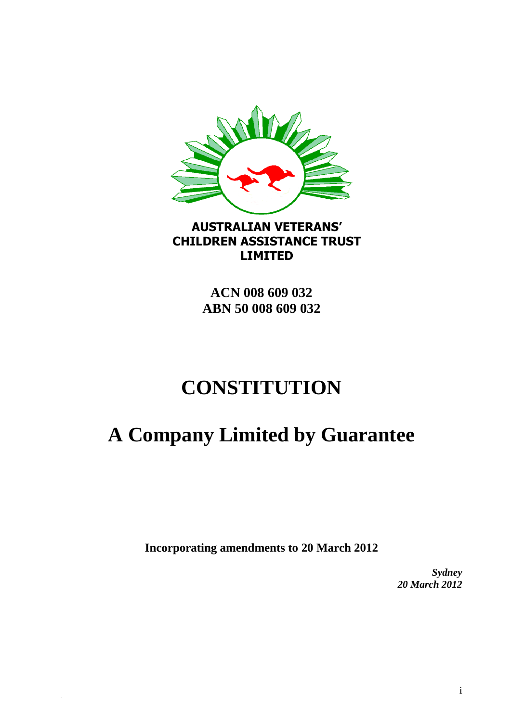

# **AUSTRALIAN VETERANS' CHILDREN ASSISTANCE TRUST LIMITED**

**ACN 008 609 032 ABN 50 008 609 032**

# **CONSTITUTION**

# **A Company Limited by Guarantee**

**Incorporating amendments to 20 March 2012**

*Sydney 20 March 2012*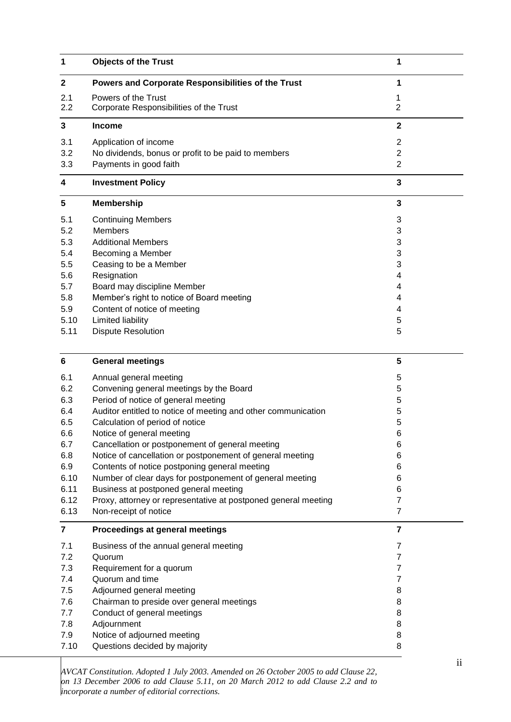| 1                       | <b>Objects of the Trust</b>                                    | 1                   |
|-------------------------|----------------------------------------------------------------|---------------------|
| $\mathbf 2$             | Powers and Corporate Responsibilities of the Trust             | 1                   |
| 2.1<br>2.2              | Powers of the Trust<br>Corporate Responsibilities of the Trust | 1<br>$\overline{2}$ |
| 3                       | <b>Income</b>                                                  | $\mathbf{2}$        |
| 3.1                     | Application of income                                          | $\overline{2}$      |
| 3.2                     | No dividends, bonus or profit to be paid to members            | $\overline{c}$      |
| 3.3                     | Payments in good faith                                         | $\overline{2}$      |
| 4                       | <b>Investment Policy</b>                                       | 3                   |
| 5                       | <b>Membership</b>                                              | 3                   |
| 5.1                     | <b>Continuing Members</b>                                      | 3                   |
| 5.2                     | <b>Members</b>                                                 | 3                   |
| 5.3                     | <b>Additional Members</b>                                      | 3                   |
| 5.4                     | Becoming a Member                                              | 3                   |
| 5.5                     | Ceasing to be a Member                                         | 3                   |
| 5.6                     | Resignation                                                    | 4                   |
| 5.7                     | Board may discipline Member                                    | 4                   |
| 5.8                     | Member's right to notice of Board meeting                      | 4                   |
| 5.9                     | Content of notice of meeting                                   | 4                   |
| 5.10                    | Limited liability                                              | 5                   |
| 5.11                    | <b>Dispute Resolution</b>                                      | 5                   |
| 6                       | <b>General meetings</b>                                        | 5                   |
| 6.1                     | Annual general meeting                                         | 5                   |
| 6.2                     | Convening general meetings by the Board                        | 5                   |
| 6.3                     | Period of notice of general meeting                            | 5                   |
| 6.4                     | Auditor entitled to notice of meeting and other communication  | 5                   |
| 6.5                     | Calculation of period of notice                                | 5                   |
| 6.6                     | Notice of general meeting                                      | 6                   |
| 6.7                     | Cancellation or postponement of general meeting                | 6                   |
| 6.8                     | Notice of cancellation or postponement of general meeting      | 6                   |
| 6.9                     | Contents of notice postponing general meeting                  | 6                   |
| 6.10                    | Number of clear days for postponement of general meeting       | 6                   |
| 6.11                    | Business at postponed general meeting                          | 6                   |
| 6.12                    | Proxy, attorney or representative at postponed general meeting | 7                   |
| 6.13                    | Non-receipt of notice                                          | $\overline{7}$      |
| $\overline{\mathbf{7}}$ | Proceedings at general meetings                                | $\overline{7}$      |
| 7.1                     | Business of the annual general meeting                         | $\overline{7}$      |
| 7.2                     | Quorum                                                         | 7                   |
| 7.3                     | Requirement for a quorum                                       | $\overline{7}$      |
| 7.4                     | Quorum and time                                                | $\overline{7}$      |
| 7.5                     | Adjourned general meeting                                      | 8                   |
| 7.6                     | Chairman to preside over general meetings                      | 8                   |
| 7.7                     | Conduct of general meetings                                    | 8                   |
| 7.8                     | Adjournment                                                    | 8                   |
| 7.9                     | Notice of adjourned meeting                                    | 8                   |
| 7.10                    | Questions decided by majority                                  | 8                   |

*AVCAT Constitution. Adopted 1 July 2003. Amended on 26 October 2005 to add Clause 22, on 13 December 2006 to add Clause 5.11, on 20 March 2012 to add Clause 2.2 and to incorporate a number of editorial corrections.*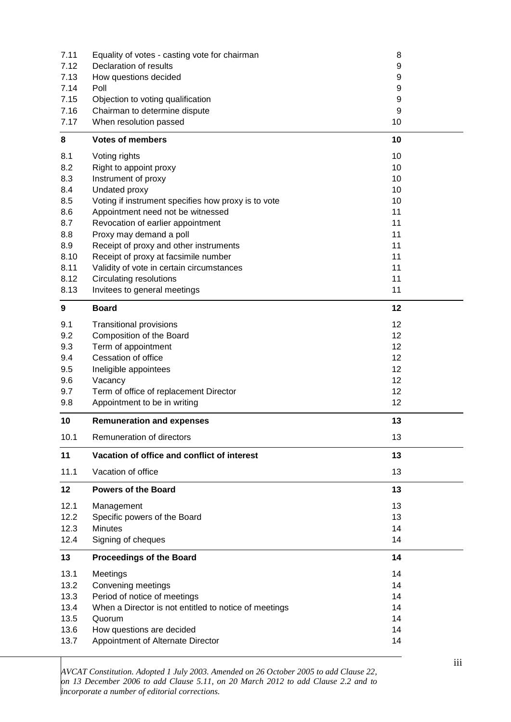| 7.11 | Equality of votes - casting vote for chairman         | 8  |
|------|-------------------------------------------------------|----|
| 7.12 | Declaration of results                                | 9  |
| 7.13 | How questions decided                                 | 9  |
| 7.14 | Poll                                                  | 9  |
| 7.15 | Objection to voting qualification                     | 9  |
| 7.16 | Chairman to determine dispute                         | 9  |
| 7.17 | When resolution passed                                | 10 |
| 8    | <b>Votes of members</b>                               | 10 |
| 8.1  | Voting rights                                         | 10 |
| 8.2  | Right to appoint proxy                                | 10 |
| 8.3  | Instrument of proxy                                   | 10 |
| 8.4  | Undated proxy                                         | 10 |
| 8.5  | Voting if instrument specifies how proxy is to vote   | 10 |
| 8.6  | Appointment need not be witnessed                     | 11 |
| 8.7  | Revocation of earlier appointment                     | 11 |
| 8.8  | Proxy may demand a poll                               | 11 |
| 8.9  | Receipt of proxy and other instruments                | 11 |
| 8.10 | Receipt of proxy at facsimile number                  | 11 |
| 8.11 | Validity of vote in certain circumstances             | 11 |
| 8.12 | <b>Circulating resolutions</b>                        | 11 |
| 8.13 | Invitees to general meetings                          | 11 |
| 9    | <b>Board</b>                                          | 12 |
| 9.1  | <b>Transitional provisions</b>                        | 12 |
| 9.2  | Composition of the Board                              | 12 |
| 9.3  | Term of appointment                                   | 12 |
| 9.4  | Cessation of office                                   | 12 |
| 9.5  | Ineligible appointees                                 | 12 |
| 9.6  | Vacancy                                               | 12 |
| 9.7  | Term of office of replacement Director                | 12 |
| 9.8  | Appointment to be in writing                          | 12 |
| 10   | <b>Remuneration and expenses</b>                      | 13 |
| 10.1 | Remuneration of directors                             | 13 |
| 11   | Vacation of office and conflict of interest           | 13 |
| 11.1 | Vacation of office                                    | 13 |
| 12   | <b>Powers of the Board</b>                            | 13 |
| 12.1 | Management                                            | 13 |
| 12.2 | Specific powers of the Board                          | 13 |
| 12.3 | <b>Minutes</b>                                        | 14 |
| 12.4 | Signing of cheques                                    | 14 |
| 13   | <b>Proceedings of the Board</b>                       | 14 |
| 13.1 | Meetings                                              | 14 |
| 13.2 | Convening meetings                                    | 14 |
| 13.3 | Period of notice of meetings                          | 14 |
| 13.4 | When a Director is not entitled to notice of meetings | 14 |
| 13.5 | Quorum                                                | 14 |
| 13.6 | How questions are decided                             | 14 |
| 13.7 | Appointment of Alternate Director                     | 14 |
|      |                                                       |    |

*AVCAT Constitution. Adopted 1 July 2003. Amended on 26 October 2005 to add Clause 22, on 13 December 2006 to add Clause 5.11, on 20 March 2012 to add Clause 2.2 and to incorporate a number of editorial corrections.*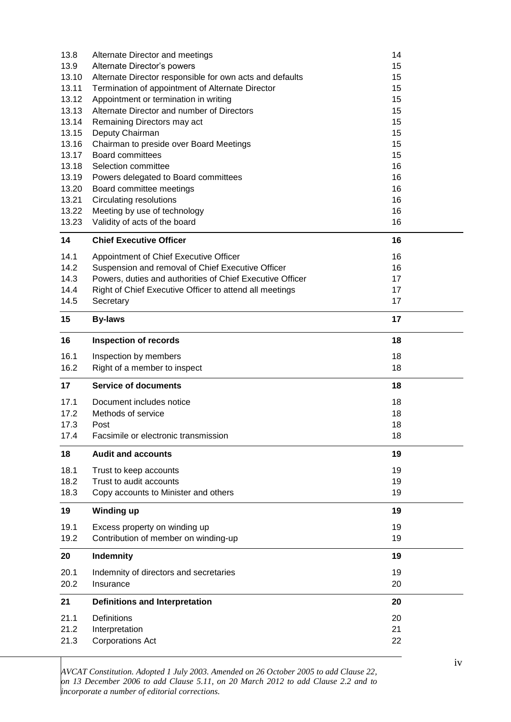| 13.8  | Alternate Director and meetings                           | 14 |
|-------|-----------------------------------------------------------|----|
| 13.9  | Alternate Director's powers                               | 15 |
| 13.10 | Alternate Director responsible for own acts and defaults  | 15 |
| 13.11 | Termination of appointment of Alternate Director          | 15 |
| 13.12 | Appointment or termination in writing                     | 15 |
| 13.13 | Alternate Director and number of Directors                | 15 |
| 13.14 | Remaining Directors may act                               | 15 |
| 13.15 | Deputy Chairman                                           | 15 |
| 13.16 | Chairman to preside over Board Meetings                   | 15 |
| 13.17 | <b>Board committees</b>                                   | 15 |
| 13.18 | Selection committee                                       | 16 |
| 13.19 | Powers delegated to Board committees                      | 16 |
| 13.20 | Board committee meetings                                  | 16 |
| 13.21 | <b>Circulating resolutions</b>                            | 16 |
| 13.22 | Meeting by use of technology                              | 16 |
| 13.23 | Validity of acts of the board                             | 16 |
| 14    | <b>Chief Executive Officer</b>                            | 16 |
| 14.1  | Appointment of Chief Executive Officer                    | 16 |
| 14.2  | Suspension and removal of Chief Executive Officer         | 16 |
| 14.3  | Powers, duties and authorities of Chief Executive Officer | 17 |
| 14.4  | Right of Chief Executive Officer to attend all meetings   | 17 |
| 14.5  | Secretary                                                 | 17 |
| 15    | <b>By-laws</b>                                            | 17 |
| 16    | <b>Inspection of records</b>                              | 18 |
| 16.1  | Inspection by members                                     | 18 |
| 16.2  | Right of a member to inspect                              | 18 |
| 17    | <b>Service of documents</b>                               | 18 |
| 17.1  | Document includes notice                                  | 18 |
| 17.2  | Methods of service                                        | 18 |
| 17.3  | Post                                                      | 18 |
| 17.4  | Facsimile or electronic transmission                      | 18 |
| 18    | <b>Audit and accounts</b>                                 | 19 |
| 18.1  | Trust to keep accounts                                    | 19 |
| 18.2  | Trust to audit accounts                                   | 19 |
| 18.3  | Copy accounts to Minister and others                      | 19 |
| 19    | <b>Winding up</b>                                         | 19 |
| 19.1  | Excess property on winding up                             | 19 |
| 19.2  | Contribution of member on winding-up                      | 19 |
| 20    | Indemnity                                                 | 19 |
| 20.1  | Indemnity of directors and secretaries                    | 19 |
| 20.2  | Insurance                                                 | 20 |
| 21    | <b>Definitions and Interpretation</b>                     | 20 |
| 21.1  | <b>Definitions</b>                                        | 20 |
|       |                                                           |    |
| 21.2  |                                                           | 21 |
| 21.3  | Interpretation<br><b>Corporations Act</b>                 | 22 |

*AVCAT Constitution. Adopted 1 July 2003. Amended on 26 October 2005 to add Clause 22, on 13 December 2006 to add Clause 5.11, on 20 March 2012 to add Clause 2.2 and to incorporate a number of editorial corrections.*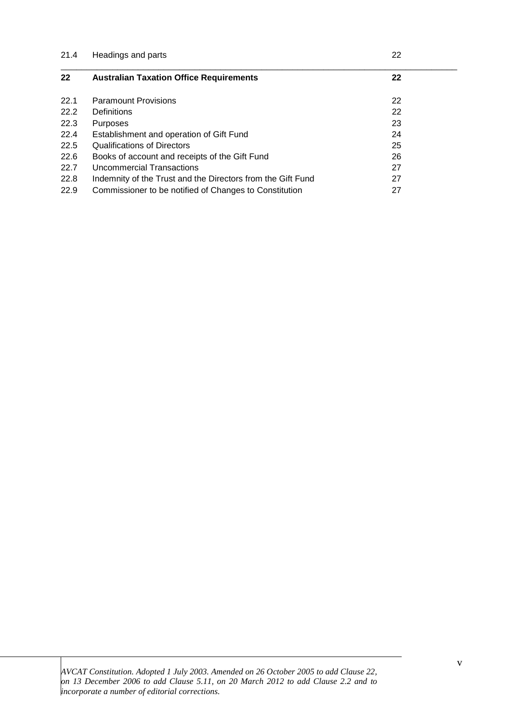| Headings and parts                                          | 22 |  |
|-------------------------------------------------------------|----|--|
| <b>Australian Taxation Office Requirements</b>              | 22 |  |
| <b>Paramount Provisions</b>                                 | 22 |  |
| Definitions                                                 | 22 |  |
| Purposes                                                    | 23 |  |
| Establishment and operation of Gift Fund                    | 24 |  |
| <b>Qualifications of Directors</b>                          | 25 |  |
| Books of account and receipts of the Gift Fund              | 26 |  |
| Uncommercial Transactions                                   | 27 |  |
| Indemnity of the Trust and the Directors from the Gift Fund | 27 |  |
| Commissioner to be notified of Changes to Constitution      | 27 |  |
|                                                             |    |  |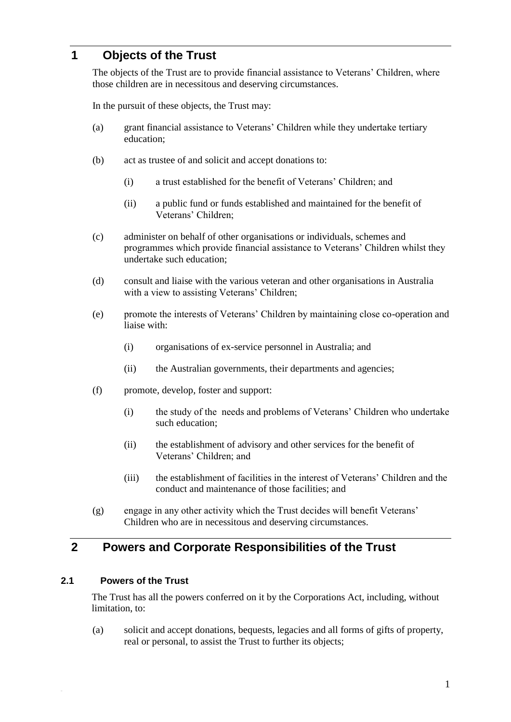## **1 Objects of the Trust**

The objects of the Trust are to provide financial assistance to Veterans' Children, where those children are in necessitous and deserving circumstances.

In the pursuit of these objects, the Trust may:

- (a) grant financial assistance to Veterans' Children while they undertake tertiary education;
- (b) act as trustee of and solicit and accept donations to:
	- (i) a trust established for the benefit of Veterans' Children; and
	- (ii) a public fund or funds established and maintained for the benefit of Veterans' Children;
- (c) administer on behalf of other organisations or individuals, schemes and programmes which provide financial assistance to Veterans' Children whilst they undertake such education;
- (d) consult and liaise with the various veteran and other organisations in Australia with a view to assisting Veterans' Children;
- (e) promote the interests of Veterans' Children by maintaining close co-operation and liaise with:
	- (i) organisations of ex-service personnel in Australia; and
	- (ii) the Australian governments, their departments and agencies;
- (f) promote, develop, foster and support:
	- (i) the study of the needs and problems of Veterans' Children who undertake such education;
	- (ii) the establishment of advisory and other services for the benefit of Veterans' Children; and
	- (iii) the establishment of facilities in the interest of Veterans' Children and the conduct and maintenance of those facilities; and
- (g) engage in any other activity which the Trust decides will benefit Veterans' Children who are in necessitous and deserving circumstances.

## **2 Powers and Corporate Responsibilities of the Trust**

#### **2.1 Powers of the Trust**

The Trust has all the powers conferred on it by the Corporations Act, including, without limitation, to:

(a) solicit and accept donations, bequests, legacies and all forms of gifts of property, real or personal, to assist the Trust to further its objects;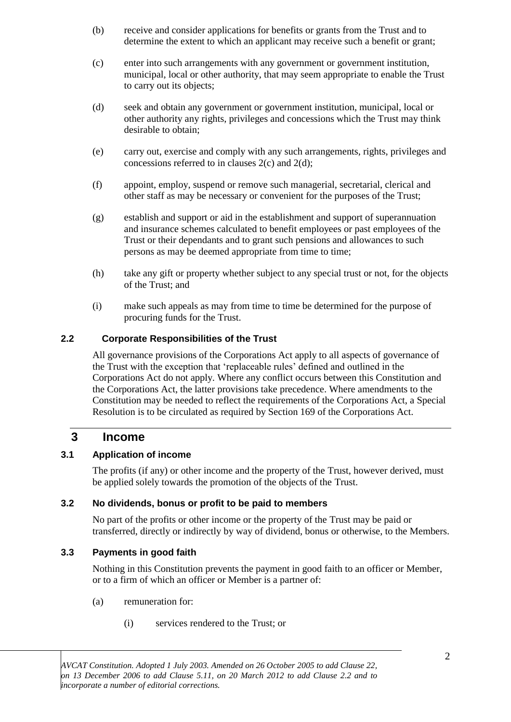- (b) receive and consider applications for benefits or grants from the Trust and to determine the extent to which an applicant may receive such a benefit or grant;
- (c) enter into such arrangements with any government or government institution, municipal, local or other authority, that may seem appropriate to enable the Trust to carry out its objects;
- (d) seek and obtain any government or government institution, municipal, local or other authority any rights, privileges and concessions which the Trust may think desirable to obtain;
- (e) carry out, exercise and comply with any such arrangements, rights, privileges and concessions referred to in clauses 2(c) and 2(d);
- (f) appoint, employ, suspend or remove such managerial, secretarial, clerical and other staff as may be necessary or convenient for the purposes of the Trust;
- (g) establish and support or aid in the establishment and support of superannuation and insurance schemes calculated to benefit employees or past employees of the Trust or their dependants and to grant such pensions and allowances to such persons as may be deemed appropriate from time to time;
- (h) take any gift or property whether subject to any special trust or not, for the objects of the Trust; and
- (i) make such appeals as may from time to time be determined for the purpose of procuring funds for the Trust.

#### **2.2 Corporate Responsibilities of the Trust**

All governance provisions of the Corporations Act apply to all aspects of governance of the Trust with the exception that 'replaceable rules' defined and outlined in the Corporations Act do not apply. Where any conflict occurs between this Constitution and the Corporations Act, the latter provisions take precedence. Where amendments to the Constitution may be needed to reflect the requirements of the Corporations Act, a Special Resolution is to be circulated as required by Section 169 of the Corporations Act.

#### **3 Income**

#### **3.1 Application of income**

The profits (if any) or other income and the property of the Trust, however derived, must be applied solely towards the promotion of the objects of the Trust.

#### **3.2 No dividends, bonus or profit to be paid to members**

No part of the profits or other income or the property of the Trust may be paid or transferred, directly or indirectly by way of dividend, bonus or otherwise, to the Members.

#### **3.3 Payments in good faith**

Nothing in this Constitution prevents the payment in good faith to an officer or Member, or to a firm of which an officer or Member is a partner of:

- (a) remuneration for:
	- (i) services rendered to the Trust; or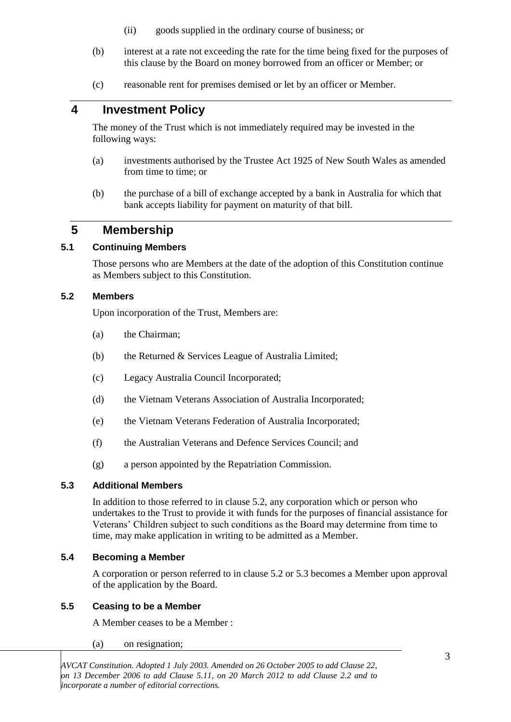- (ii) goods supplied in the ordinary course of business; or
- (b) interest at a rate not exceeding the rate for the time being fixed for the purposes of this clause by the Board on money borrowed from an officer or Member; or
- (c) reasonable rent for premises demised or let by an officer or Member.

## **4 Investment Policy**

The money of the Trust which is not immediately required may be invested in the following ways:

- (a) investments authorised by the Trustee Act 1925 of New South Wales as amended from time to time; or
- (b) the purchase of a bill of exchange accepted by a bank in Australia for which that bank accepts liability for payment on maturity of that bill.

## **5 Membership**

#### **5.1 Continuing Members**

Those persons who are Members at the date of the adoption of this Constitution continue as Members subject to this Constitution.

#### **5.2 Members**

Upon incorporation of the Trust, Members are:

- (a) the Chairman;
- (b) the Returned & Services League of Australia Limited;
- (c) Legacy Australia Council Incorporated;
- (d) the Vietnam Veterans Association of Australia Incorporated;
- (e) the Vietnam Veterans Federation of Australia Incorporated;
- (f) the Australian Veterans and Defence Services Council; and
- (g) a person appointed by the Repatriation Commission.

#### **5.3 Additional Members**

In addition to those referred to in clause 5.2, any corporation which or person who undertakes to the Trust to provide it with funds for the purposes of financial assistance for Veterans' Children subject to such conditions as the Board may determine from time to time, may make application in writing to be admitted as a Member.

#### **5.4 Becoming a Member**

A corporation or person referred to in clause 5.2 or 5.3 becomes a Member upon approval of the application by the Board.

#### **5.5 Ceasing to be a Member**

A Member ceases to be a Member :

(a) on resignation;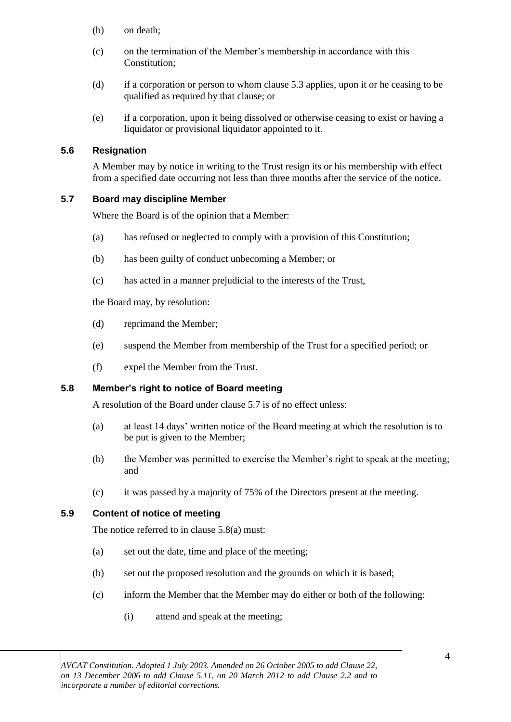- (b) on death;
- (c) on the termination of the Member's membership in accordance with this Constitution:
- (d) if a corporation or person to whom clause 5.3 applies, upon it or he ceasing to be qualified as required by that clause; or
- (e) if a corporation, upon it being dissolved or otherwise ceasing to exist or having a liquidator or provisional liquidator appointed to it.

#### **5.6 Resignation**

A Member may by notice in writing to the Trust resign its or his membership with effect from a specified date occurring not less than three months after the service of the notice.

#### **5.7 Board may discipline Member**

Where the Board is of the opinion that a Member:

- (a) has refused or neglected to comply with a provision of this Constitution;
- (b) has been guilty of conduct unbecoming a Member; or
- (c) has acted in a manner prejudicial to the interests of the Trust,

the Board may, by resolution:

- (d) reprimand the Member;
- (e) suspend the Member from membership of the Trust for a specified period; or
- (f) expel the Member from the Trust.

#### **5.8 Member's right to notice of Board meeting**

A resolution of the Board under clause 5.7 is of no effect unless:

- (a) at least 14 days' written notice of the Board meeting at which the resolution is to be put is given to the Member;
- (b) the Member was permitted to exercise the Member's right to speak at the meeting; and
- (c) it was passed by a majority of 75% of the Directors present at the meeting.

#### **5.9 Content of notice of meeting**

The notice referred to in clause 5.8(a) must:

- (a) set out the date, time and place of the meeting;
- (b) set out the proposed resolution and the grounds on which it is based;
- (c) inform the Member that the Member may do either or both of the following:
	- (i) attend and speak at the meeting;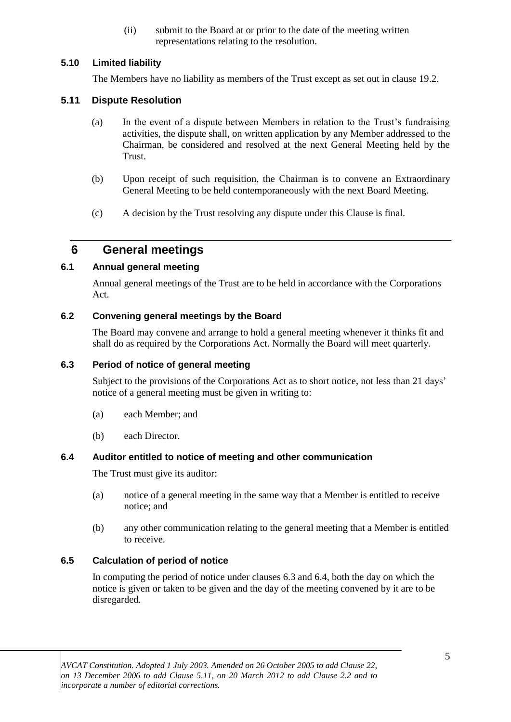(ii) submit to the Board at or prior to the date of the meeting written representations relating to the resolution.

#### **5.10 Limited liability**

The Members have no liability as members of the Trust except as set out in clause 19.2.

#### **5.11 Dispute Resolution**

- (a) In the event of a dispute between Members in relation to the Trust's fundraising activities, the dispute shall, on written application by any Member addressed to the Chairman, be considered and resolved at the next General Meeting held by the Trust.
- (b) Upon receipt of such requisition, the Chairman is to convene an Extraordinary General Meeting to be held contemporaneously with the next Board Meeting.
- (c) A decision by the Trust resolving any dispute under this Clause is final.

## **6 General meetings**

#### **6.1 Annual general meeting**

Annual general meetings of the Trust are to be held in accordance with the Corporations Act.

#### **6.2 Convening general meetings by the Board**

The Board may convene and arrange to hold a general meeting whenever it thinks fit and shall do as required by the Corporations Act. Normally the Board will meet quarterly.

#### **6.3 Period of notice of general meeting**

Subject to the provisions of the Corporations Act as to short notice, not less than 21 days' notice of a general meeting must be given in writing to:

- (a) each Member; and
- (b) each Director.

#### **6.4 Auditor entitled to notice of meeting and other communication**

The Trust must give its auditor:

- (a) notice of a general meeting in the same way that a Member is entitled to receive notice; and
- (b) any other communication relating to the general meeting that a Member is entitled to receive.

#### **6.5 Calculation of period of notice**

In computing the period of notice under clauses 6.3 and 6.4, both the day on which the notice is given or taken to be given and the day of the meeting convened by it are to be disregarded.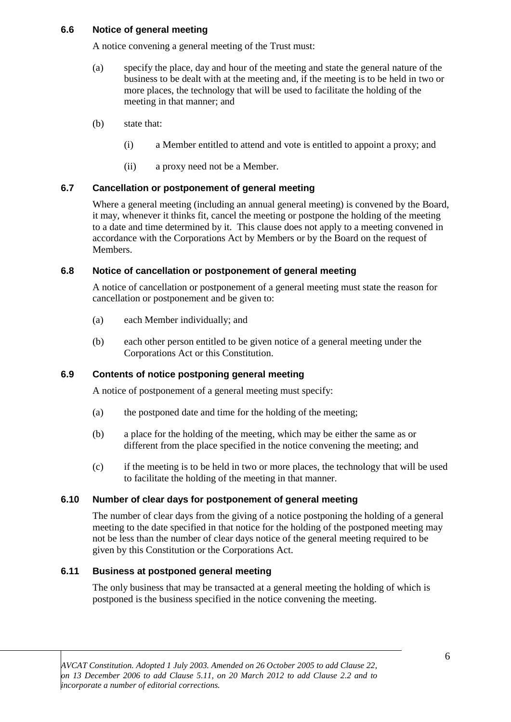#### **6.6 Notice of general meeting**

A notice convening a general meeting of the Trust must:

- (a) specify the place, day and hour of the meeting and state the general nature of the business to be dealt with at the meeting and, if the meeting is to be held in two or more places, the technology that will be used to facilitate the holding of the meeting in that manner; and
- (b) state that:
	- (i) a Member entitled to attend and vote is entitled to appoint a proxy; and
	- (ii) a proxy need not be a Member.

#### **6.7 Cancellation or postponement of general meeting**

Where a general meeting (including an annual general meeting) is convened by the Board, it may, whenever it thinks fit, cancel the meeting or postpone the holding of the meeting to a date and time determined by it. This clause does not apply to a meeting convened in accordance with the Corporations Act by Members or by the Board on the request of Members.

#### **6.8 Notice of cancellation or postponement of general meeting**

A notice of cancellation or postponement of a general meeting must state the reason for cancellation or postponement and be given to:

- (a) each Member individually; and
- (b) each other person entitled to be given notice of a general meeting under the Corporations Act or this Constitution.

#### **6.9 Contents of notice postponing general meeting**

A notice of postponement of a general meeting must specify:

- (a) the postponed date and time for the holding of the meeting;
- (b) a place for the holding of the meeting, which may be either the same as or different from the place specified in the notice convening the meeting; and
- (c) if the meeting is to be held in two or more places, the technology that will be used to facilitate the holding of the meeting in that manner.

#### **6.10 Number of clear days for postponement of general meeting**

The number of clear days from the giving of a notice postponing the holding of a general meeting to the date specified in that notice for the holding of the postponed meeting may not be less than the number of clear days notice of the general meeting required to be given by this Constitution or the Corporations Act.

#### **6.11 Business at postponed general meeting**

The only business that may be transacted at a general meeting the holding of which is postponed is the business specified in the notice convening the meeting.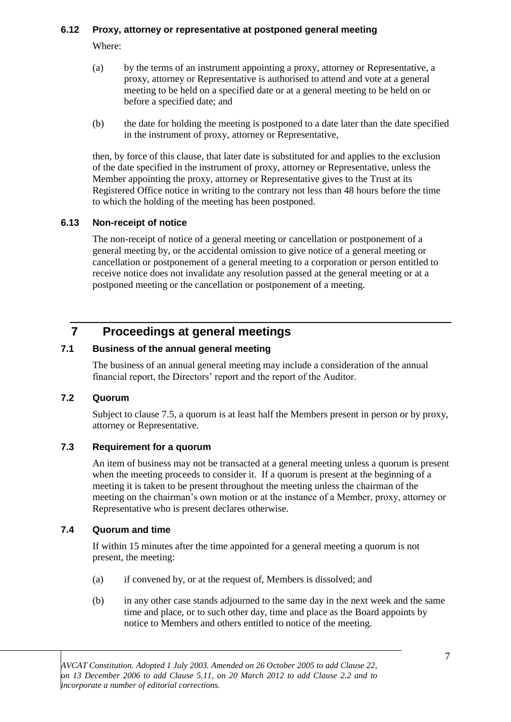#### **6.12 Proxy, attorney or representative at postponed general meeting**

Where:

- (a) by the terms of an instrument appointing a proxy, attorney or Representative, a proxy, attorney or Representative is authorised to attend and vote at a general meeting to be held on a specified date or at a general meeting to be held on or before a specified date; and
- (b) the date for holding the meeting is postponed to a date later than the date specified in the instrument of proxy, attorney or Representative,

then, by force of this clause, that later date is substituted for and applies to the exclusion of the date specified in the instrument of proxy, attorney or Representative, unless the Member appointing the proxy, attorney or Representative gives to the Trust at its Registered Office notice in writing to the contrary not less than 48 hours before the time to which the holding of the meeting has been postponed.

#### **6.13 Non-receipt of notice**

The non-receipt of notice of a general meeting or cancellation or postponement of a general meeting by, or the accidental omission to give notice of a general meeting or cancellation or postponement of a general meeting to a corporation or person entitled to receive notice does not invalidate any resolution passed at the general meeting or at a postponed meeting or the cancellation or postponement of a meeting.

# **7 Proceedings at general meetings**

#### **7.1 Business of the annual general meeting**

The business of an annual general meeting may include a consideration of the annual financial report, the Directors' report and the report of the Auditor.

#### **7.2 Quorum**

Subject to clause 7.5, a quorum is at least half the Members present in person or by proxy, attorney or Representative.

#### **7.3 Requirement for a quorum**

An item of business may not be transacted at a general meeting unless a quorum is present when the meeting proceeds to consider it. If a quorum is present at the beginning of a meeting it is taken to be present throughout the meeting unless the chairman of the meeting on the chairman's own motion or at the instance of a Member, proxy, attorney or Representative who is present declares otherwise.

#### **7.4 Quorum and time**

If within 15 minutes after the time appointed for a general meeting a quorum is not present, the meeting:

- (a) if convened by, or at the request of, Members is dissolved; and
- (b) in any other case stands adjourned to the same day in the next week and the same time and place, or to such other day, time and place as the Board appoints by notice to Members and others entitled to notice of the meeting.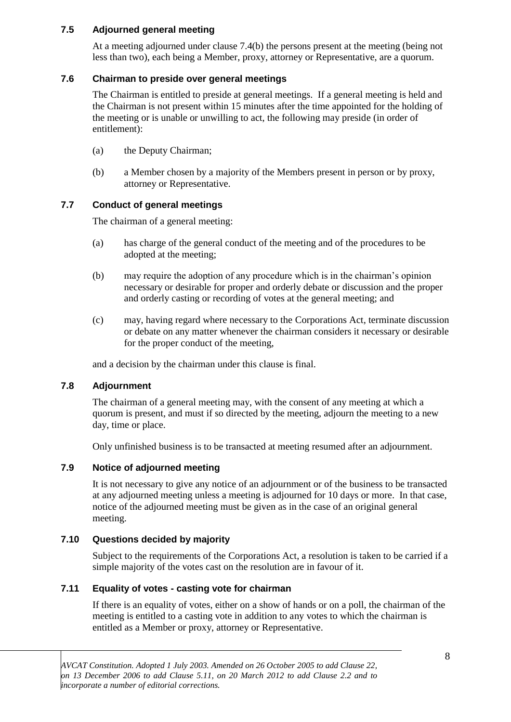#### **7.5 Adjourned general meeting**

At a meeting adjourned under clause 7.4(b) the persons present at the meeting (being not less than two), each being a Member, proxy, attorney or Representative, are a quorum.

#### **7.6 Chairman to preside over general meetings**

The Chairman is entitled to preside at general meetings. If a general meeting is held and the Chairman is not present within 15 minutes after the time appointed for the holding of the meeting or is unable or unwilling to act, the following may preside (in order of entitlement):

- (a) the Deputy Chairman;
- (b) a Member chosen by a majority of the Members present in person or by proxy, attorney or Representative.

#### **7.7 Conduct of general meetings**

The chairman of a general meeting:

- (a) has charge of the general conduct of the meeting and of the procedures to be adopted at the meeting;
- (b) may require the adoption of any procedure which is in the chairman's opinion necessary or desirable for proper and orderly debate or discussion and the proper and orderly casting or recording of votes at the general meeting; and
- (c) may, having regard where necessary to the Corporations Act, terminate discussion or debate on any matter whenever the chairman considers it necessary or desirable for the proper conduct of the meeting,

and a decision by the chairman under this clause is final.

#### **7.8 Adjournment**

The chairman of a general meeting may, with the consent of any meeting at which a quorum is present, and must if so directed by the meeting, adjourn the meeting to a new day, time or place.

Only unfinished business is to be transacted at meeting resumed after an adjournment.

#### **7.9 Notice of adjourned meeting**

It is not necessary to give any notice of an adjournment or of the business to be transacted at any adjourned meeting unless a meeting is adjourned for 10 days or more. In that case, notice of the adjourned meeting must be given as in the case of an original general meeting.

#### **7.10 Questions decided by majority**

Subject to the requirements of the Corporations Act, a resolution is taken to be carried if a simple majority of the votes cast on the resolution are in favour of it.

#### **7.11 Equality of votes - casting vote for chairman**

If there is an equality of votes, either on a show of hands or on a poll, the chairman of the meeting is entitled to a casting vote in addition to any votes to which the chairman is entitled as a Member or proxy, attorney or Representative.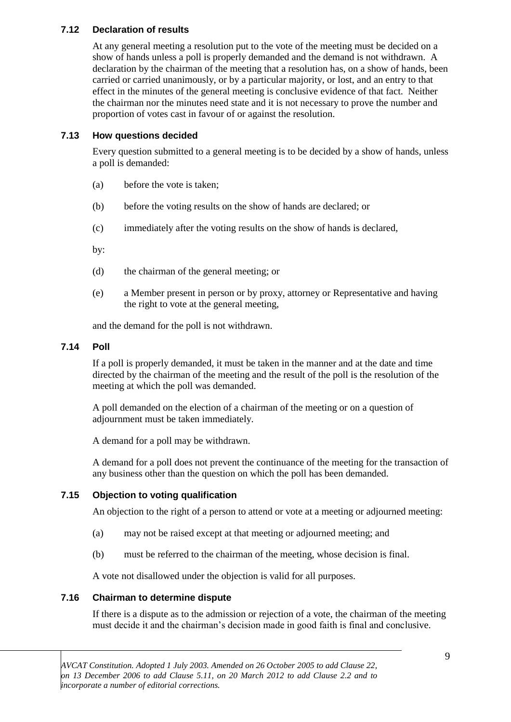#### **7.12 Declaration of results**

At any general meeting a resolution put to the vote of the meeting must be decided on a show of hands unless a poll is properly demanded and the demand is not withdrawn. A declaration by the chairman of the meeting that a resolution has, on a show of hands, been carried or carried unanimously, or by a particular majority, or lost, and an entry to that effect in the minutes of the general meeting is conclusive evidence of that fact. Neither the chairman nor the minutes need state and it is not necessary to prove the number and proportion of votes cast in favour of or against the resolution.

#### **7.13 How questions decided**

Every question submitted to a general meeting is to be decided by a show of hands, unless a poll is demanded:

- (a) before the vote is taken;
- (b) before the voting results on the show of hands are declared; or
- (c) immediately after the voting results on the show of hands is declared,

by:

- (d) the chairman of the general meeting; or
- (e) a Member present in person or by proxy, attorney or Representative and having the right to vote at the general meeting,

and the demand for the poll is not withdrawn.

#### **7.14 Poll**

If a poll is properly demanded, it must be taken in the manner and at the date and time directed by the chairman of the meeting and the result of the poll is the resolution of the meeting at which the poll was demanded.

A poll demanded on the election of a chairman of the meeting or on a question of adjournment must be taken immediately.

A demand for a poll may be withdrawn.

A demand for a poll does not prevent the continuance of the meeting for the transaction of any business other than the question on which the poll has been demanded.

#### **7.15 Objection to voting qualification**

An objection to the right of a person to attend or vote at a meeting or adjourned meeting:

- (a) may not be raised except at that meeting or adjourned meeting; and
- (b) must be referred to the chairman of the meeting, whose decision is final.

A vote not disallowed under the objection is valid for all purposes.

#### **7.16 Chairman to determine dispute**

If there is a dispute as to the admission or rejection of a vote, the chairman of the meeting must decide it and the chairman's decision made in good faith is final and conclusive.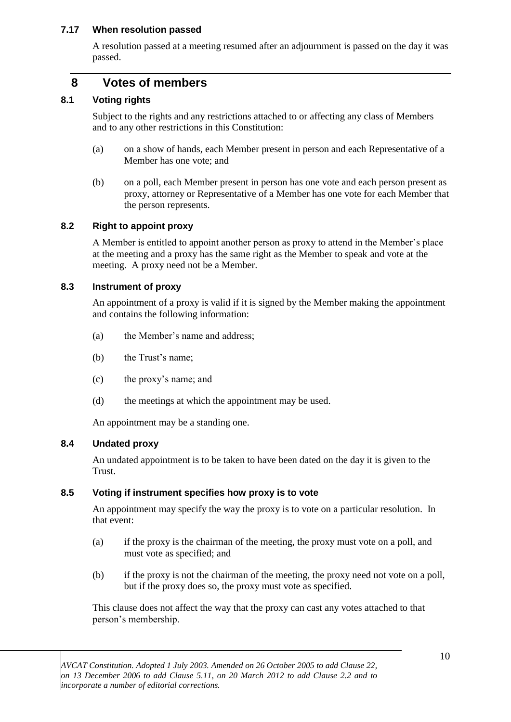#### **7.17 When resolution passed**

A resolution passed at a meeting resumed after an adjournment is passed on the day it was passed.

## **8 Votes of members**

#### **8.1 Voting rights**

Subject to the rights and any restrictions attached to or affecting any class of Members and to any other restrictions in this Constitution:

- (a) on a show of hands, each Member present in person and each Representative of a Member has one vote; and
- (b) on a poll, each Member present in person has one vote and each person present as proxy, attorney or Representative of a Member has one vote for each Member that the person represents.

#### **8.2 Right to appoint proxy**

A Member is entitled to appoint another person as proxy to attend in the Member's place at the meeting and a proxy has the same right as the Member to speak and vote at the meeting. A proxy need not be a Member.

#### **8.3 Instrument of proxy**

An appointment of a proxy is valid if it is signed by the Member making the appointment and contains the following information:

- (a) the Member's name and address;
- (b) the Trust's name;
- (c) the proxy's name; and
- (d) the meetings at which the appointment may be used.

An appointment may be a standing one.

#### **8.4 Undated proxy**

An undated appointment is to be taken to have been dated on the day it is given to the Trust.

#### **8.5 Voting if instrument specifies how proxy is to vote**

An appointment may specify the way the proxy is to vote on a particular resolution. In that event:

- (a) if the proxy is the chairman of the meeting, the proxy must vote on a poll, and must vote as specified; and
- (b) if the proxy is not the chairman of the meeting, the proxy need not vote on a poll, but if the proxy does so, the proxy must vote as specified.

This clause does not affect the way that the proxy can cast any votes attached to that person's membership.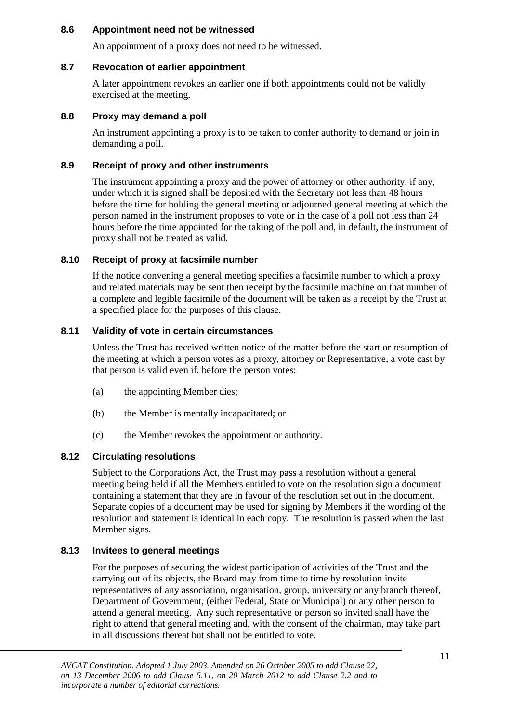#### **8.6 Appointment need not be witnessed**

An appointment of a proxy does not need to be witnessed.

#### **8.7 Revocation of earlier appointment**

A later appointment revokes an earlier one if both appointments could not be validly exercised at the meeting.

#### **8.8 Proxy may demand a poll**

An instrument appointing a proxy is to be taken to confer authority to demand or join in demanding a poll.

#### **8.9 Receipt of proxy and other instruments**

The instrument appointing a proxy and the power of attorney or other authority, if any, under which it is signed shall be deposited with the Secretary not less than 48 hours before the time for holding the general meeting or adjourned general meeting at which the person named in the instrument proposes to vote or in the case of a poll not less than 24 hours before the time appointed for the taking of the poll and, in default, the instrument of proxy shall not be treated as valid.

#### **8.10 Receipt of proxy at facsimile number**

If the notice convening a general meeting specifies a facsimile number to which a proxy and related materials may be sent then receipt by the facsimile machine on that number of a complete and legible facsimile of the document will be taken as a receipt by the Trust at a specified place for the purposes of this clause.

#### **8.11 Validity of vote in certain circumstances**

Unless the Trust has received written notice of the matter before the start or resumption of the meeting at which a person votes as a proxy, attorney or Representative, a vote cast by that person is valid even if, before the person votes:

- (a) the appointing Member dies;
- (b) the Member is mentally incapacitated; or
- (c) the Member revokes the appointment or authority.

#### **8.12 Circulating resolutions**

Subject to the Corporations Act, the Trust may pass a resolution without a general meeting being held if all the Members entitled to vote on the resolution sign a document containing a statement that they are in favour of the resolution set out in the document. Separate copies of a document may be used for signing by Members if the wording of the resolution and statement is identical in each copy. The resolution is passed when the last Member signs.

#### **8.13 Invitees to general meetings**

For the purposes of securing the widest participation of activities of the Trust and the carrying out of its objects, the Board may from time to time by resolution invite representatives of any association, organisation, group, university or any branch thereof, Department of Government, (either Federal, State or Municipal) or any other person to attend a general meeting. Any such representative or person so invited shall have the right to attend that general meeting and, with the consent of the chairman, may take part in all discussions thereat but shall not be entitled to vote.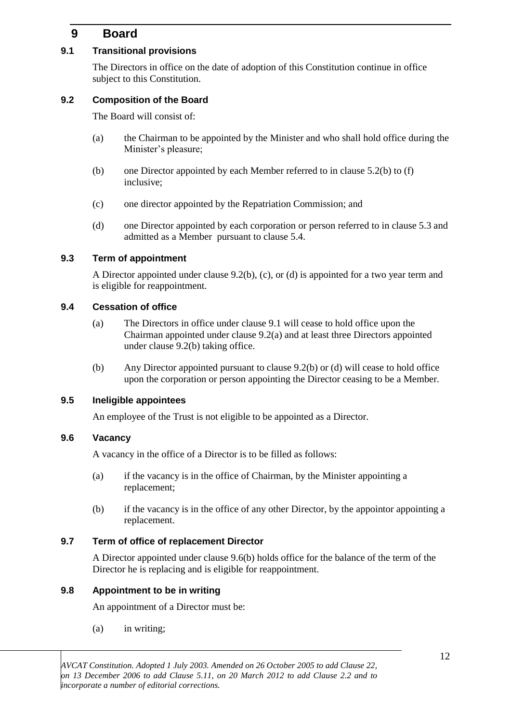# **9 Board**

#### **9.1 Transitional provisions**

The Directors in office on the date of adoption of this Constitution continue in office subject to this Constitution.

#### **9.2 Composition of the Board**

The Board will consist of:

- (a) the Chairman to be appointed by the Minister and who shall hold office during the Minister's pleasure;
- (b) one Director appointed by each Member referred to in clause 5.2(b) to (f) inclusive;
- (c) one director appointed by the Repatriation Commission; and
- (d) one Director appointed by each corporation or person referred to in clause 5.3 and admitted as a Member pursuant to clause 5.4.

#### **9.3 Term of appointment**

A Director appointed under clause 9.2(b), (c), or (d) is appointed for a two year term and is eligible for reappointment.

#### **9.4 Cessation of office**

- (a) The Directors in office under clause 9.1 will cease to hold office upon the Chairman appointed under clause 9.2(a) and at least three Directors appointed under clause 9.2(b) taking office.
- (b) Any Director appointed pursuant to clause 9.2(b) or (d) will cease to hold office upon the corporation or person appointing the Director ceasing to be a Member.

#### **9.5 Ineligible appointees**

An employee of the Trust is not eligible to be appointed as a Director.

#### **9.6 Vacancy**

A vacancy in the office of a Director is to be filled as follows:

- (a) if the vacancy is in the office of Chairman, by the Minister appointing a replacement;
- (b) if the vacancy is in the office of any other Director, by the appointor appointing a replacement.

#### **9.7 Term of office of replacement Director**

A Director appointed under clause 9.6(b) holds office for the balance of the term of the Director he is replacing and is eligible for reappointment.

#### **9.8 Appointment to be in writing**

An appointment of a Director must be:

(a) in writing;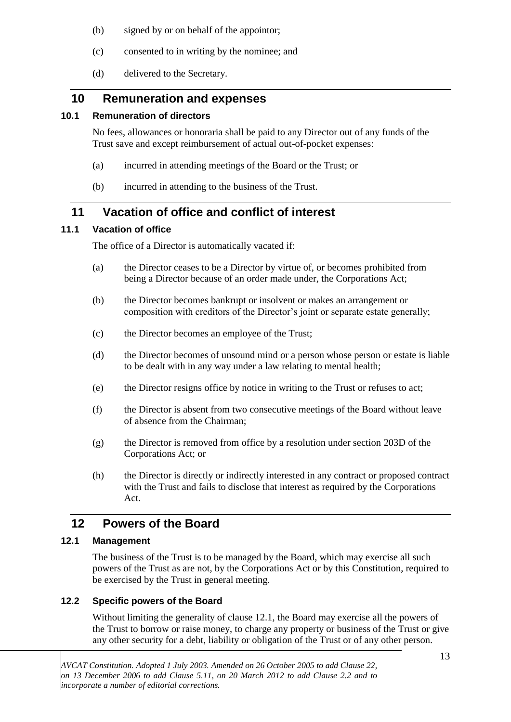- (b) signed by or on behalf of the appointor;
- (c) consented to in writing by the nominee; and
- (d) delivered to the Secretary.

# **10 Remuneration and expenses**

#### **10.1 Remuneration of directors**

No fees, allowances or honoraria shall be paid to any Director out of any funds of the Trust save and except reimbursement of actual out-of-pocket expenses:

- (a) incurred in attending meetings of the Board or the Trust; or
- (b) incurred in attending to the business of the Trust.

# **11 Vacation of office and conflict of interest**

#### **11.1 Vacation of office**

The office of a Director is automatically vacated if:

- (a) the Director ceases to be a Director by virtue of, or becomes prohibited from being a Director because of an order made under, the Corporations Act;
- (b) the Director becomes bankrupt or insolvent or makes an arrangement or composition with creditors of the Director's joint or separate estate generally;
- (c) the Director becomes an employee of the Trust;
- (d) the Director becomes of unsound mind or a person whose person or estate is liable to be dealt with in any way under a law relating to mental health;
- (e) the Director resigns office by notice in writing to the Trust or refuses to act;
- (f) the Director is absent from two consecutive meetings of the Board without leave of absence from the Chairman;
- (g) the Director is removed from office by a resolution under section 203D of the Corporations Act; or
- (h) the Director is directly or indirectly interested in any contract or proposed contract with the Trust and fails to disclose that interest as required by the Corporations Act.

# **12 Powers of the Board**

## **12.1 Management**

The business of the Trust is to be managed by the Board, which may exercise all such powers of the Trust as are not, by the Corporations Act or by this Constitution, required to be exercised by the Trust in general meeting.

## **12.2 Specific powers of the Board**

Without limiting the generality of clause 12.1, the Board may exercise all the powers of the Trust to borrow or raise money, to charge any property or business of the Trust or give any other security for a debt, liability or obligation of the Trust or of any other person.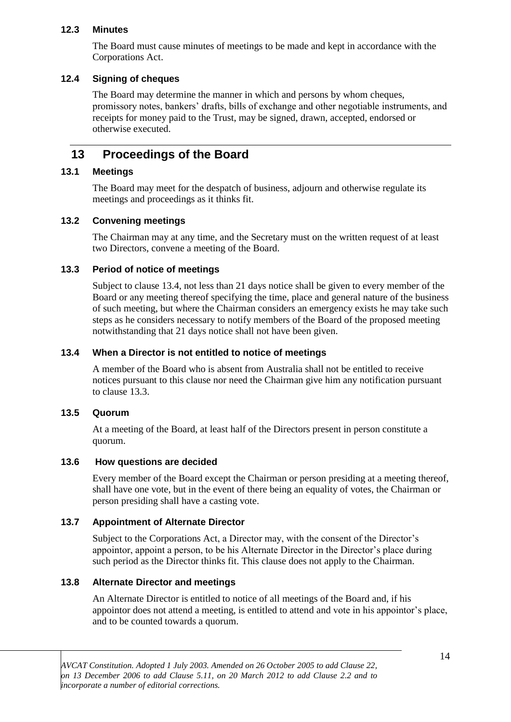#### **12.3 Minutes**

The Board must cause minutes of meetings to be made and kept in accordance with the Corporations Act.

#### **12.4 Signing of cheques**

The Board may determine the manner in which and persons by whom cheques, promissory notes, bankers' drafts, bills of exchange and other negotiable instruments, and receipts for money paid to the Trust, may be signed, drawn, accepted, endorsed or otherwise executed.

## **13 Proceedings of the Board**

#### **13.1 Meetings**

The Board may meet for the despatch of business, adjourn and otherwise regulate its meetings and proceedings as it thinks fit.

#### **13.2 Convening meetings**

The Chairman may at any time, and the Secretary must on the written request of at least two Directors, convene a meeting of the Board.

#### **13.3 Period of notice of meetings**

Subject to clause 13.4, not less than 21 days notice shall be given to every member of the Board or any meeting thereof specifying the time, place and general nature of the business of such meeting, but where the Chairman considers an emergency exists he may take such steps as he considers necessary to notify members of the Board of the proposed meeting notwithstanding that 21 days notice shall not have been given.

#### **13.4 When a Director is not entitled to notice of meetings**

A member of the Board who is absent from Australia shall not be entitled to receive notices pursuant to this clause nor need the Chairman give him any notification pursuant to clause 13.3.

#### **13.5 Quorum**

At a meeting of the Board, at least half of the Directors present in person constitute a quorum.

#### **13.6 How questions are decided**

Every member of the Board except the Chairman or person presiding at a meeting thereof, shall have one vote, but in the event of there being an equality of votes, the Chairman or person presiding shall have a casting vote.

#### **13.7 Appointment of Alternate Director**

Subject to the Corporations Act, a Director may, with the consent of the Director's appointor, appoint a person, to be his Alternate Director in the Director's place during such period as the Director thinks fit. This clause does not apply to the Chairman.

#### **13.8 Alternate Director and meetings**

An Alternate Director is entitled to notice of all meetings of the Board and, if his appointor does not attend a meeting, is entitled to attend and vote in his appointor's place, and to be counted towards a quorum.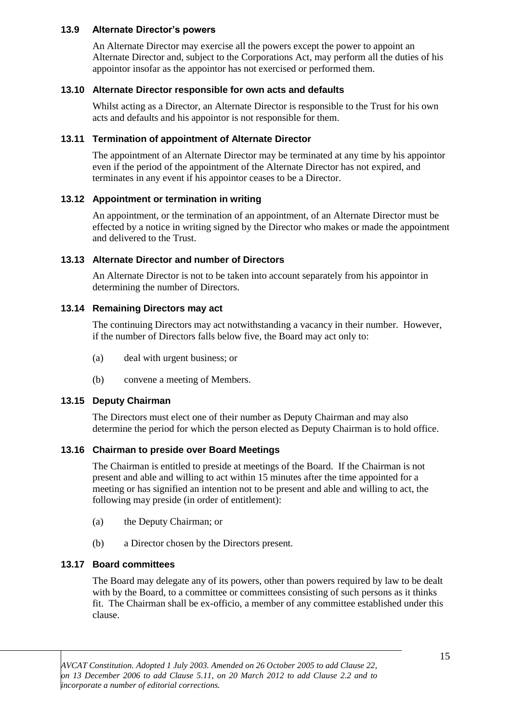#### **13.9 Alternate Director's powers**

An Alternate Director may exercise all the powers except the power to appoint an Alternate Director and, subject to the Corporations Act, may perform all the duties of his appointor insofar as the appointor has not exercised or performed them.

#### **13.10 Alternate Director responsible for own acts and defaults**

Whilst acting as a Director, an Alternate Director is responsible to the Trust for his own acts and defaults and his appointor is not responsible for them.

#### **13.11 Termination of appointment of Alternate Director**

The appointment of an Alternate Director may be terminated at any time by his appointor even if the period of the appointment of the Alternate Director has not expired, and terminates in any event if his appointor ceases to be a Director.

#### **13.12 Appointment or termination in writing**

An appointment, or the termination of an appointment, of an Alternate Director must be effected by a notice in writing signed by the Director who makes or made the appointment and delivered to the Trust.

#### **13.13 Alternate Director and number of Directors**

An Alternate Director is not to be taken into account separately from his appointor in determining the number of Directors.

#### **13.14 Remaining Directors may act**

The continuing Directors may act notwithstanding a vacancy in their number. However, if the number of Directors falls below five, the Board may act only to:

- (a) deal with urgent business; or
- (b) convene a meeting of Members.

#### **13.15 Deputy Chairman**

The Directors must elect one of their number as Deputy Chairman and may also determine the period for which the person elected as Deputy Chairman is to hold office.

#### **13.16 Chairman to preside over Board Meetings**

The Chairman is entitled to preside at meetings of the Board. If the Chairman is not present and able and willing to act within 15 minutes after the time appointed for a meeting or has signified an intention not to be present and able and willing to act, the following may preside (in order of entitlement):

- (a) the Deputy Chairman; or
- (b) a Director chosen by the Directors present.

#### **13.17 Board committees**

The Board may delegate any of its powers, other than powers required by law to be dealt with by the Board, to a committee or committees consisting of such persons as it thinks fit. The Chairman shall be ex-officio, a member of any committee established under this clause.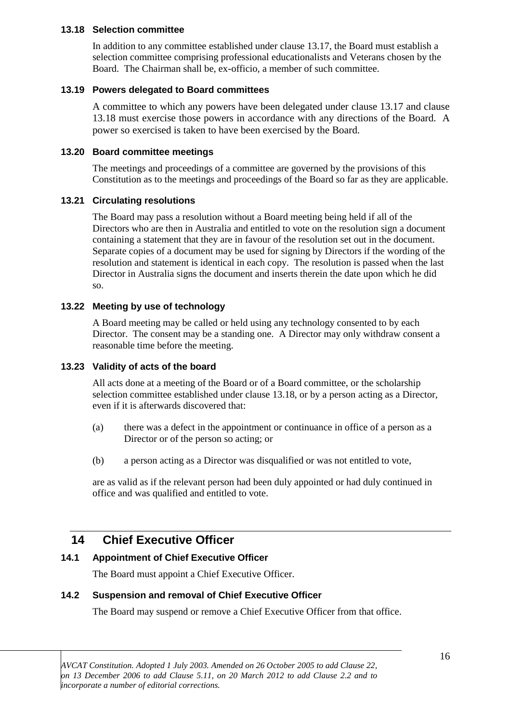#### **13.18 Selection committee**

In addition to any committee established under clause 13.17, the Board must establish a selection committee comprising professional educationalists and Veterans chosen by the Board. The Chairman shall be, ex-officio, a member of such committee.

#### **13.19 Powers delegated to Board committees**

A committee to which any powers have been delegated under clause 13.17 and clause 13.18 must exercise those powers in accordance with any directions of the Board. A power so exercised is taken to have been exercised by the Board.

#### **13.20 Board committee meetings**

The meetings and proceedings of a committee are governed by the provisions of this Constitution as to the meetings and proceedings of the Board so far as they are applicable.

#### **13.21 Circulating resolutions**

The Board may pass a resolution without a Board meeting being held if all of the Directors who are then in Australia and entitled to vote on the resolution sign a document containing a statement that they are in favour of the resolution set out in the document. Separate copies of a document may be used for signing by Directors if the wording of the resolution and statement is identical in each copy. The resolution is passed when the last Director in Australia signs the document and inserts therein the date upon which he did so.

#### **13.22 Meeting by use of technology**

A Board meeting may be called or held using any technology consented to by each Director. The consent may be a standing one. A Director may only withdraw consent a reasonable time before the meeting.

#### **13.23 Validity of acts of the board**

All acts done at a meeting of the Board or of a Board committee, or the scholarship selection committee established under clause 13.18, or by a person acting as a Director, even if it is afterwards discovered that:

- (a) there was a defect in the appointment or continuance in office of a person as a Director or of the person so acting; or
- (b) a person acting as a Director was disqualified or was not entitled to vote,

are as valid as if the relevant person had been duly appointed or had duly continued in office and was qualified and entitled to vote.

## **14 Chief Executive Officer**

#### **14.1 Appointment of Chief Executive Officer**

The Board must appoint a Chief Executive Officer.

#### **14.2 Suspension and removal of Chief Executive Officer**

The Board may suspend or remove a Chief Executive Officer from that office.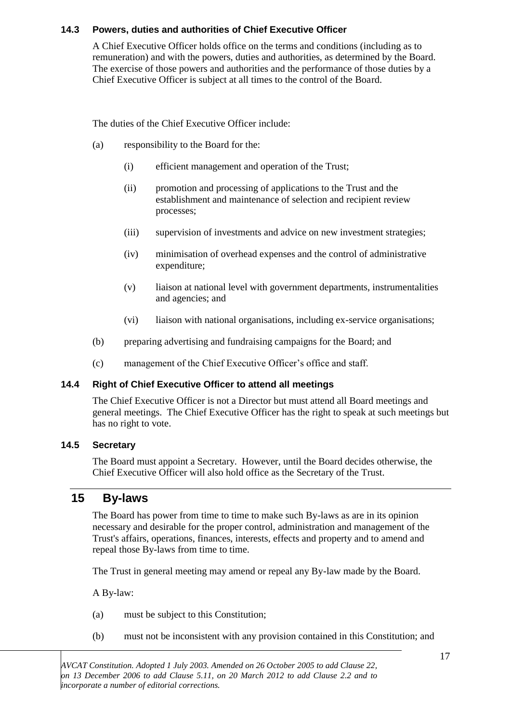#### **14.3 Powers, duties and authorities of Chief Executive Officer**

A Chief Executive Officer holds office on the terms and conditions (including as to remuneration) and with the powers, duties and authorities, as determined by the Board. The exercise of those powers and authorities and the performance of those duties by a Chief Executive Officer is subject at all times to the control of the Board.

The duties of the Chief Executive Officer include:

- (a) responsibility to the Board for the:
	- (i) efficient management and operation of the Trust;
	- (ii) promotion and processing of applications to the Trust and the establishment and maintenance of selection and recipient review processes;
	- (iii) supervision of investments and advice on new investment strategies;
	- (iv) minimisation of overhead expenses and the control of administrative expenditure;
	- (v) liaison at national level with government departments, instrumentalities and agencies; and
	- (vi) liaison with national organisations, including ex-service organisations;
- (b) preparing advertising and fundraising campaigns for the Board; and
- (c) management of the Chief Executive Officer's office and staff.

#### **14.4 Right of Chief Executive Officer to attend all meetings**

The Chief Executive Officer is not a Director but must attend all Board meetings and general meetings. The Chief Executive Officer has the right to speak at such meetings but has no right to vote.

#### **14.5 Secretary**

The Board must appoint a Secretary. However, until the Board decides otherwise, the Chief Executive Officer will also hold office as the Secretary of the Trust.

## **15 By-laws**

The Board has power from time to time to make such By-laws as are in its opinion necessary and desirable for the proper control, administration and management of the Trust's affairs, operations, finances, interests, effects and property and to amend and repeal those By-laws from time to time.

The Trust in general meeting may amend or repeal any By-law made by the Board.

A By-law:

- (a) must be subject to this Constitution;
- (b) must not be inconsistent with any provision contained in this Constitution; and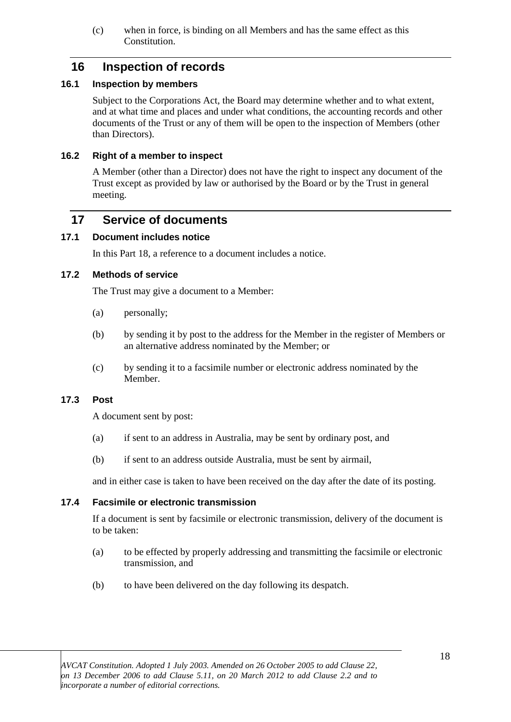(c) when in force, is binding on all Members and has the same effect as this Constitution.

## **16 Inspection of records**

#### **16.1 Inspection by members**

Subject to the Corporations Act, the Board may determine whether and to what extent, and at what time and places and under what conditions, the accounting records and other documents of the Trust or any of them will be open to the inspection of Members (other than Directors).

#### **16.2 Right of a member to inspect**

A Member (other than a Director) does not have the right to inspect any document of the Trust except as provided by law or authorised by the Board or by the Trust in general meeting.

## **17 Service of documents**

#### **17.1 Document includes notice**

In this Part 18, a reference to a document includes a notice.

#### **17.2 Methods of service**

The Trust may give a document to a Member:

- (a) personally;
- (b) by sending it by post to the address for the Member in the register of Members or an alternative address nominated by the Member; or
- (c) by sending it to a facsimile number or electronic address nominated by the Member.

#### **17.3 Post**

A document sent by post:

- (a) if sent to an address in Australia, may be sent by ordinary post, and
- (b) if sent to an address outside Australia, must be sent by airmail,

and in either case is taken to have been received on the day after the date of its posting.

#### **17.4 Facsimile or electronic transmission**

If a document is sent by facsimile or electronic transmission, delivery of the document is to be taken:

- (a) to be effected by properly addressing and transmitting the facsimile or electronic transmission, and
- (b) to have been delivered on the day following its despatch.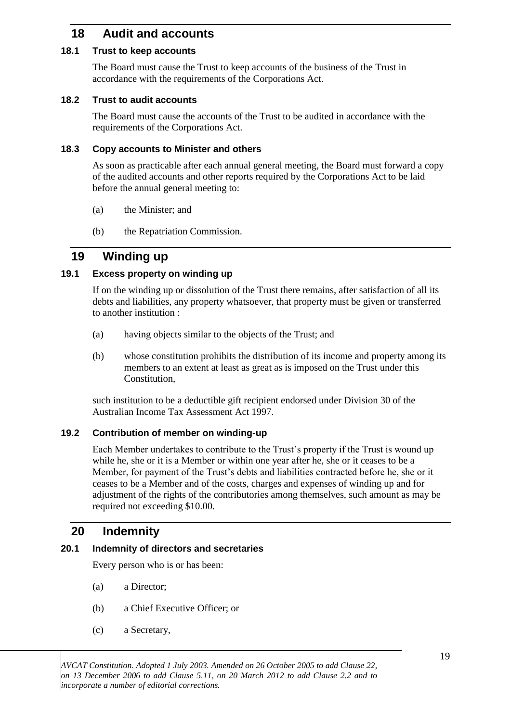# **18 Audit and accounts**

#### **18.1 Trust to keep accounts**

The Board must cause the Trust to keep accounts of the business of the Trust in accordance with the requirements of the Corporations Act.

#### **18.2 Trust to audit accounts**

The Board must cause the accounts of the Trust to be audited in accordance with the requirements of the Corporations Act.

#### **18.3 Copy accounts to Minister and others**

As soon as practicable after each annual general meeting, the Board must forward a copy of the audited accounts and other reports required by the Corporations Act to be laid before the annual general meeting to:

- (a) the Minister; and
- (b) the Repatriation Commission.

## **19 Winding up**

#### **19.1 Excess property on winding up**

If on the winding up or dissolution of the Trust there remains, after satisfaction of all its debts and liabilities, any property whatsoever, that property must be given or transferred to another institution :

- (a) having objects similar to the objects of the Trust; and
- (b) whose constitution prohibits the distribution of its income and property among its members to an extent at least as great as is imposed on the Trust under this Constitution,

such institution to be a deductible gift recipient endorsed under Division 30 of the Australian Income Tax Assessment Act 1997.

#### **19.2 Contribution of member on winding-up**

Each Member undertakes to contribute to the Trust's property if the Trust is wound up while he, she or it is a Member or within one year after he, she or it ceases to be a Member, for payment of the Trust's debts and liabilities contracted before he, she or it ceases to be a Member and of the costs, charges and expenses of winding up and for adjustment of the rights of the contributories among themselves, such amount as may be required not exceeding \$10.00.

## **20 Indemnity**

#### **20.1 Indemnity of directors and secretaries**

Every person who is or has been:

- (a) a Director;
- (b) a Chief Executive Officer; or
- (c) a Secretary,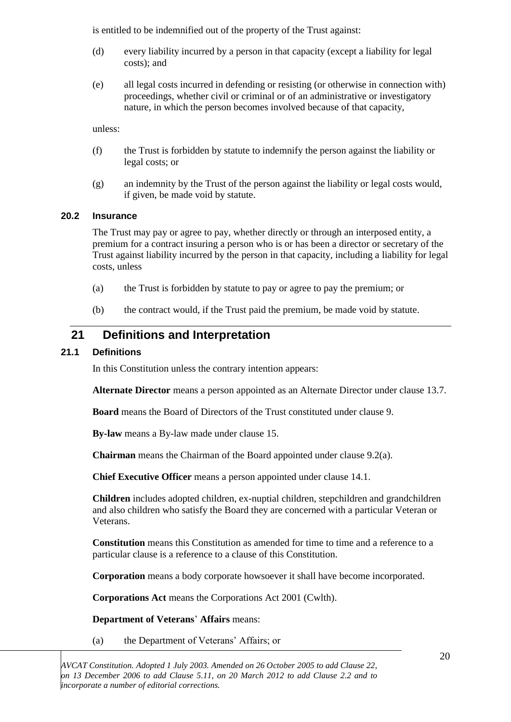is entitled to be indemnified out of the property of the Trust against:

- (d) every liability incurred by a person in that capacity (except a liability for legal costs); and
- (e) all legal costs incurred in defending or resisting (or otherwise in connection with) proceedings, whether civil or criminal or of an administrative or investigatory nature, in which the person becomes involved because of that capacity,

unless:

- (f) the Trust is forbidden by statute to indemnify the person against the liability or legal costs; or
- (g) an indemnity by the Trust of the person against the liability or legal costs would, if given, be made void by statute.

#### **20.2 Insurance**

The Trust may pay or agree to pay, whether directly or through an interposed entity, a premium for a contract insuring a person who is or has been a director or secretary of the Trust against liability incurred by the person in that capacity, including a liability for legal costs, unless

- (a) the Trust is forbidden by statute to pay or agree to pay the premium; or
- (b) the contract would, if the Trust paid the premium, be made void by statute.

## **21 Definitions and Interpretation**

#### **21.1 Definitions**

In this Constitution unless the contrary intention appears:

**Alternate Director** means a person appointed as an Alternate Director under clause 13.7.

**Board** means the Board of Directors of the Trust constituted under clause 9.

**By-law** means a By-law made under clause 15.

**Chairman** means the Chairman of the Board appointed under clause 9.2(a).

**Chief Executive Officer** means a person appointed under clause 14.1.

**Children** includes adopted children, ex-nuptial children, stepchildren and grandchildren and also children who satisfy the Board they are concerned with a particular Veteran or Veterans.

**Constitution** means this Constitution as amended for time to time and a reference to a particular clause is a reference to a clause of this Constitution.

**Corporation** means a body corporate howsoever it shall have become incorporated.

**Corporations Act** means the Corporations Act 2001 (Cwlth).

**Department of Veterans**' **Affairs** means:

(a) the Department of Veterans' Affairs; or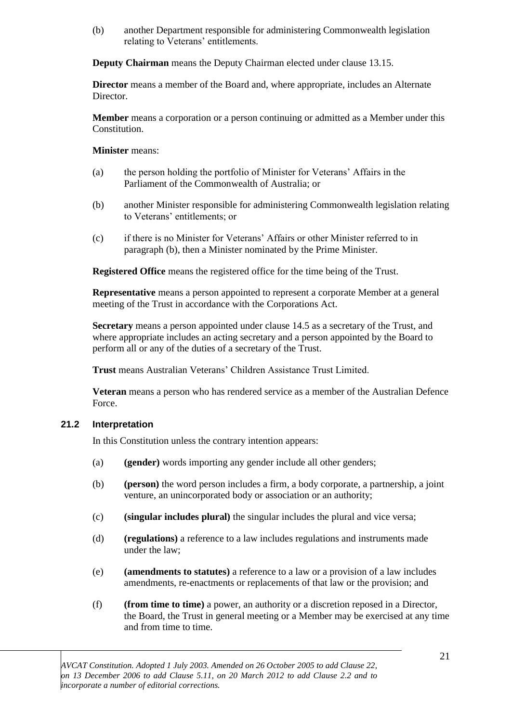(b) another Department responsible for administering Commonwealth legislation relating to Veterans' entitlements.

**Deputy Chairman** means the Deputy Chairman elected under clause 13.15.

**Director** means a member of the Board and, where appropriate, includes an Alternate Director.

**Member** means a corporation or a person continuing or admitted as a Member under this Constitution.

**Minister** means:

- (a) the person holding the portfolio of Minister for Veterans' Affairs in the Parliament of the Commonwealth of Australia; or
- (b) another Minister responsible for administering Commonwealth legislation relating to Veterans' entitlements; or
- (c) if there is no Minister for Veterans' Affairs or other Minister referred to in paragraph (b), then a Minister nominated by the Prime Minister.

**Registered Office** means the registered office for the time being of the Trust.

**Representative** means a person appointed to represent a corporate Member at a general meeting of the Trust in accordance with the Corporations Act.

**Secretary** means a person appointed under clause 14.5 as a secretary of the Trust, and where appropriate includes an acting secretary and a person appointed by the Board to perform all or any of the duties of a secretary of the Trust.

**Trust** means Australian Veterans' Children Assistance Trust Limited.

**Veteran** means a person who has rendered service as a member of the Australian Defence Force.

#### **21.2 Interpretation**

In this Constitution unless the contrary intention appears:

- (a) **(gender)** words importing any gender include all other genders;
- (b) **(person)** the word person includes a firm, a body corporate, a partnership, a joint venture, an unincorporated body or association or an authority;
- (c) **(singular includes plural)** the singular includes the plural and vice versa;
- (d) **(regulations)** a reference to a law includes regulations and instruments made under the law;
- (e) **(amendments to statutes)** a reference to a law or a provision of a law includes amendments, re-enactments or replacements of that law or the provision; and
- (f) **(from time to time)** a power, an authority or a discretion reposed in a Director, the Board, the Trust in general meeting or a Member may be exercised at any time and from time to time.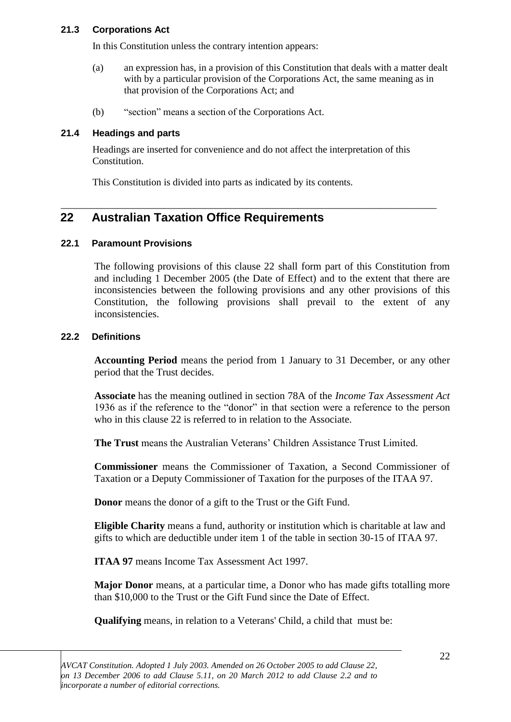#### **21.3 Corporations Act**

In this Constitution unless the contrary intention appears:

- (a) an expression has, in a provision of this Constitution that deals with a matter dealt with by a particular provision of the Corporations Act, the same meaning as in that provision of the Corporations Act; and
- (b) "section" means a section of the Corporations Act.

#### **21.4 Headings and parts**

Headings are inserted for convenience and do not affect the interpretation of this Constitution.

\_\_\_\_\_\_\_\_\_\_\_\_\_\_\_\_\_\_\_\_\_\_\_\_\_\_\_\_\_\_\_\_\_\_\_\_\_\_\_\_\_\_\_\_\_\_\_\_\_\_\_\_\_\_\_\_\_\_\_\_\_\_\_\_\_\_\_\_\_\_\_\_\_

This Constitution is divided into parts as indicated by its contents.

# **22 Australian Taxation Office Requirements**

#### **22.1 Paramount Provisions**

The following provisions of this clause 22 shall form part of this Constitution from and including 1 December 2005 (the Date of Effect) and to the extent that there are inconsistencies between the following provisions and any other provisions of this Constitution, the following provisions shall prevail to the extent of any inconsistencies.

#### **22.2 Definitions**

**Accounting Period** means the period from 1 January to 31 December, or any other period that the Trust decides.

**Associate** has the meaning outlined in section 78A of the *Income Tax Assessment Act* 1936 as if the reference to the "donor" in that section were a reference to the person who in this clause 22 is referred to in relation to the Associate.

**The Trust** means the Australian Veterans' Children Assistance Trust Limited.

**Commissioner** means the Commissioner of Taxation, a Second Commissioner of Taxation or a Deputy Commissioner of Taxation for the purposes of the ITAA 97.

**Donor** means the donor of a gift to the Trust or the Gift Fund.

**Eligible Charity** means a fund, authority or institution which is charitable at law and gifts to which are deductible under item 1 of the table in section 30-15 of ITAA 97.

**ITAA 97** means Income Tax Assessment Act 1997.

**Major Donor** means, at a particular time, a Donor who has made gifts totalling more than \$10,000 to the Trust or the Gift Fund since the Date of Effect.

**Qualifying** means, in relation to a Veterans' Child, a child that must be: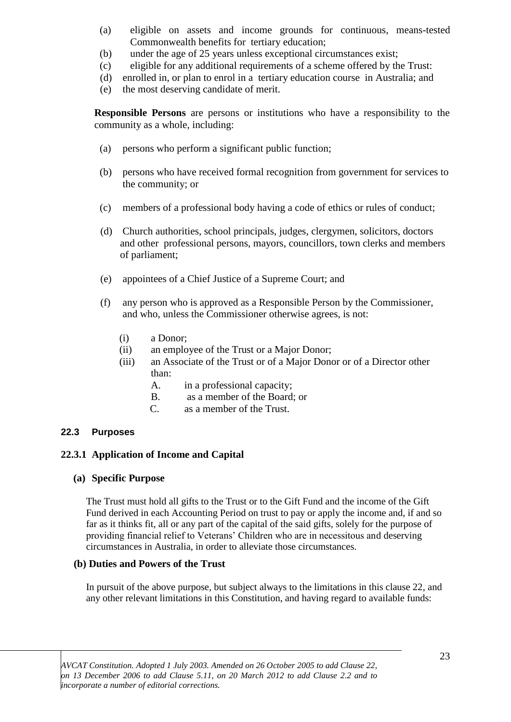- (a) eligible on assets and income grounds for continuous, means-tested Commonwealth benefits for tertiary education;
- (b) under the age of 25 years unless exceptional circumstances exist;
- (c) eligible for any additional requirements of a scheme offered by the Trust:
- (d) enrolled in, or plan to enrol in a tertiary education course in Australia; and
- (e) the most deserving candidate of merit.

**Responsible Persons** are persons or institutions who have a responsibility to the community as a whole, including:

- (a) persons who perform a significant public function;
- (b) persons who have received formal recognition from government for services to the community; or
- (c) members of a professional body having a code of ethics or rules of conduct;
- (d) Church authorities, school principals, judges, clergymen, solicitors, doctors and other professional persons, mayors, councillors, town clerks and members of parliament;
- (e) appointees of a Chief Justice of a Supreme Court; and
- (f) any person who is approved as a Responsible Person by the Commissioner, and who, unless the Commissioner otherwise agrees, is not:
	- (i) a Donor;
	- (ii) an employee of the Trust or a Major Donor;
	- (iii) an Associate of the Trust or of a Major Donor or of a Director other than:
		- A. in a professional capacity;
		- B. as a member of the Board; or
		- C. as a member of the Trust.

#### **22.3 Purposes**

#### **22.3.1 Application of Income and Capital**

#### **(a) Specific Purpose**

The Trust must hold all gifts to the Trust or to the Gift Fund and the income of the Gift Fund derived in each Accounting Period on trust to pay or apply the income and, if and so far as it thinks fit, all or any part of the capital of the said gifts, solely for the purpose of providing financial relief to Veterans' Children who are in necessitous and deserving circumstances in Australia, in order to alleviate those circumstances.

#### **(b) Duties and Powers of the Trust**

In pursuit of the above purpose, but subject always to the limitations in this clause 22, and any other relevant limitations in this Constitution, and having regard to available funds: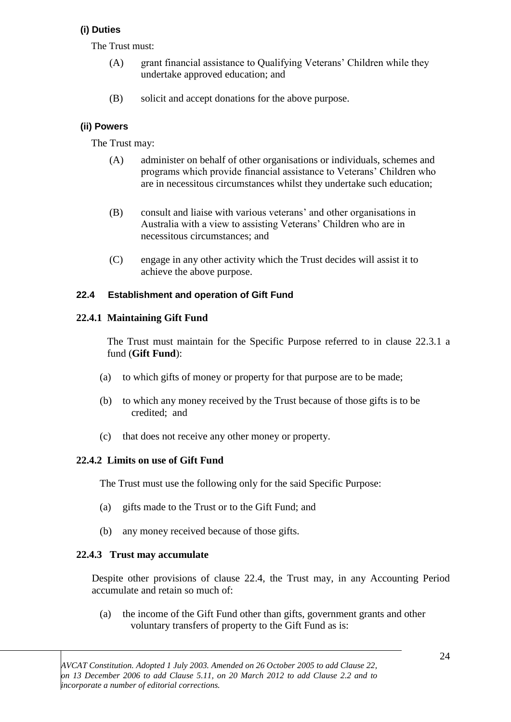## **(i) Duties**

The Trust must:

- (A) grant financial assistance to Qualifying Veterans' Children while they undertake approved education; and
- (B) solicit and accept donations for the above purpose.

## **(ii) Powers**

The Trust may:

- (A) administer on behalf of other organisations or individuals, schemes and programs which provide financial assistance to Veterans' Children who are in necessitous circumstances whilst they undertake such education;
- (B) consult and liaise with various veterans' and other organisations in Australia with a view to assisting Veterans' Children who are in necessitous circumstances; and
- (C) engage in any other activity which the Trust decides will assist it to achieve the above purpose.

## **22.4 Establishment and operation of Gift Fund**

## **22.4.1 Maintaining Gift Fund**

The Trust must maintain for the Specific Purpose referred to in clause 22.3.1 a fund (**Gift Fund**):

- (a) to which gifts of money or property for that purpose are to be made;
- (b) to which any money received by the Trust because of those gifts is to be credited; and
- (c) that does not receive any other money or property.

## **22.4.2 Limits on use of Gift Fund**

The Trust must use the following only for the said Specific Purpose:

- (a) gifts made to the Trust or to the Gift Fund; and
- (b) any money received because of those gifts.

## **22.4.3 Trust may accumulate**

Despite other provisions of clause 22.4, the Trust may, in any Accounting Period accumulate and retain so much of:

(a) the income of the Gift Fund other than gifts, government grants and other voluntary transfers of property to the Gift Fund as is: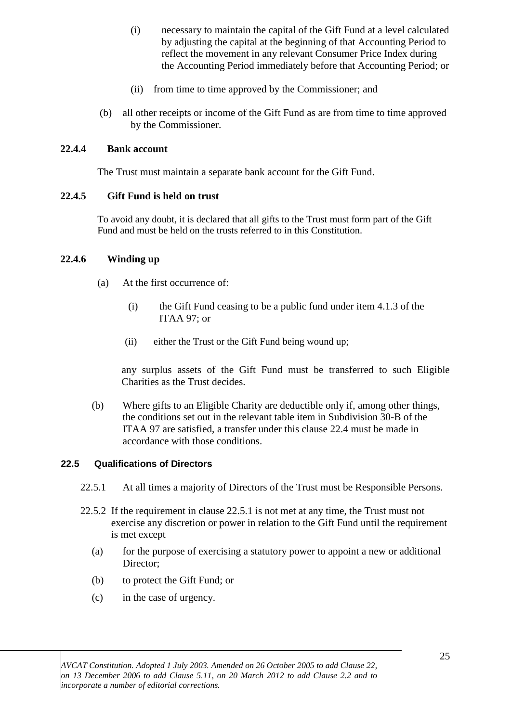- (i) necessary to maintain the capital of the Gift Fund at a level calculated by adjusting the capital at the beginning of that Accounting Period to reflect the movement in any relevant Consumer Price Index during the Accounting Period immediately before that Accounting Period; or
- (ii) from time to time approved by the Commissioner; and
- (b) all other receipts or income of the Gift Fund as are from time to time approved by the Commissioner.

#### **22.4.4 Bank account**

The Trust must maintain a separate bank account for the Gift Fund.

#### **22.4.5 Gift Fund is held on trust**

To avoid any doubt, it is declared that all gifts to the Trust must form part of the Gift Fund and must be held on the trusts referred to in this Constitution.

#### **22.4.6 Winding up**

- (a) At the first occurrence of:
	- (i) the Gift Fund ceasing to be a public fund under item 4.1.3 of the ITAA 97; or
	- (ii) either the Trust or the Gift Fund being wound up;

any surplus assets of the Gift Fund must be transferred to such Eligible Charities as the Trust decides.

(b) Where gifts to an Eligible Charity are deductible only if, among other things, the conditions set out in the relevant table item in Subdivision 30-B of the ITAA 97 are satisfied, a transfer under this clause 22.4 must be made in accordance with those conditions.

#### **22.5 Qualifications of Directors**

- 22.5.1 At all times a majority of Directors of the Trust must be Responsible Persons.
- 22.5.2 If the requirement in clause 22.5.1 is not met at any time, the Trust must not exercise any discretion or power in relation to the Gift Fund until the requirement is met except
	- (a) for the purpose of exercising a statutory power to appoint a new or additional Director;
	- (b) to protect the Gift Fund; or
	- (c) in the case of urgency.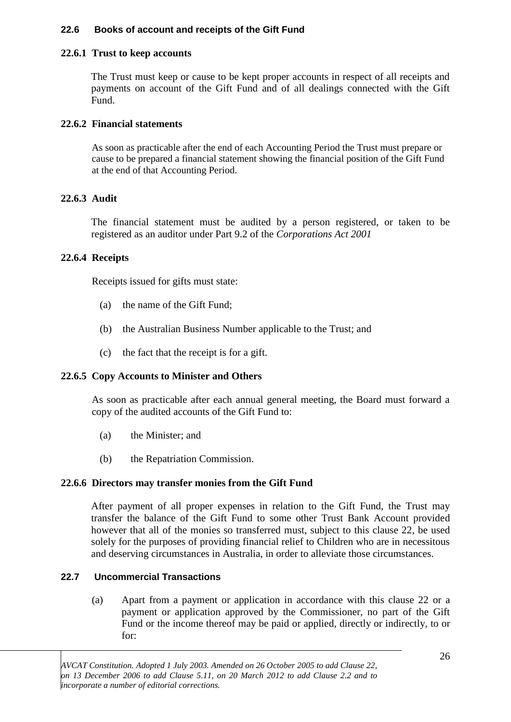#### **22.6 Books of account and receipts of the Gift Fund**

#### **22.6.1 Trust to keep accounts**

The Trust must keep or cause to be kept proper accounts in respect of all receipts and payments on account of the Gift Fund and of all dealings connected with the Gift Fund.

#### **22.6.2 Financial statements**

As soon as practicable after the end of each Accounting Period the Trust must prepare or cause to be prepared a financial statement showing the financial position of the Gift Fund at the end of that Accounting Period.

#### **22.6.3 Audit**

The financial statement must be audited by a person registered, or taken to be registered as an auditor under Part 9.2 of the *Corporations Act 2001*

#### **22.6.4 Receipts**

Receipts issued for gifts must state:

- (a) the name of the Gift Fund;
- (b) the Australian Business Number applicable to the Trust; and
- (c) the fact that the receipt is for a gift.

#### **22.6.5 Copy Accounts to Minister and Others**

As soon as practicable after each annual general meeting, the Board must forward a copy of the audited accounts of the Gift Fund to:

- (a) the Minister; and
- (b) the Repatriation Commission.

#### **22.6.6 Directors may transfer monies from the Gift Fund**

After payment of all proper expenses in relation to the Gift Fund, the Trust may transfer the balance of the Gift Fund to some other Trust Bank Account provided however that all of the monies so transferred must, subject to this clause 22, be used solely for the purposes of providing financial relief to Children who are in necessitous and deserving circumstances in Australia, in order to alleviate those circumstances.

#### **22.7 Uncommercial Transactions**

(a) Apart from a payment or application in accordance with this clause 22 or a payment or application approved by the Commissioner, no part of the Gift Fund or the income thereof may be paid or applied, directly or indirectly, to or for: